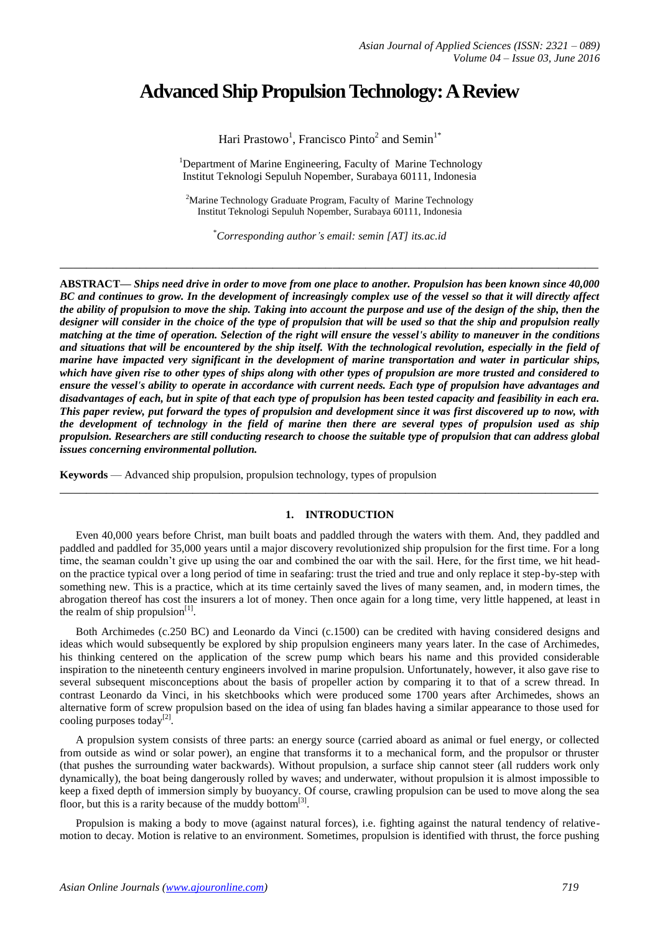# **Advanced Ship Propulsion Technology: A Review**

Hari Prastowo<sup>1</sup>, Francisco Pinto<sup>2</sup> and Semin<sup>1\*</sup>

<sup>1</sup>Department of Marine Engineering, Faculty of Marine Technology Institut Teknologi Sepuluh Nopember, Surabaya 60111, Indonesia

<sup>2</sup>Marine Technology Graduate Program, Faculty of Marine Technology Institut Teknologi Sepuluh Nopember, Surabaya 60111, Indonesia

\**Corresponding author's email: semin [AT] its.ac.id*

**\_\_\_\_\_\_\_\_\_\_\_\_\_\_\_\_\_\_\_\_\_\_\_\_\_\_\_\_\_\_\_\_\_\_\_\_\_\_\_\_\_\_\_\_\_\_\_\_\_\_\_\_\_\_\_\_\_\_\_\_\_\_\_\_\_\_\_\_\_\_\_\_\_\_\_\_\_\_\_\_\_**

**ABSTRACT***— Ships need drive in order to move from one place to another. Propulsion has been known since 40,000 BC and continues to grow. In the development of increasingly complex use of the vessel so that it will directly affect the ability of propulsion to move the ship. Taking into account the purpose and use of the design of the ship, then the designer will consider in the choice of the type of propulsion that will be used so that the ship and propulsion really matching at the time of operation. Selection of the right will ensure the vessel's ability to maneuver in the conditions and situations that will be encountered by the ship itself. With the technological revolution, especially in the field of marine have impacted very significant in the development of marine transportation and water in particular ships, which have given rise to other types of ships along with other types of propulsion are more trusted and considered to ensure the vessel's ability to operate in accordance with current needs. Each type of propulsion have advantages and disadvantages of each, but in spite of that each type of propulsion has been tested capacity and feasibility in each era. This paper review, put forward the types of propulsion and development since it was first discovered up to now, with the development of technology in the field of marine then there are several types of propulsion used as ship propulsion. Researchers are still conducting research to choose the suitable type of propulsion that can address global issues concerning environmental pollution.*

**Keywords** — Advanced ship propulsion, propulsion technology, types of propulsion

## **1. INTRODUCTION**

**\_\_\_\_\_\_\_\_\_\_\_\_\_\_\_\_\_\_\_\_\_\_\_\_\_\_\_\_\_\_\_\_\_\_\_\_\_\_\_\_\_\_\_\_\_\_\_\_\_\_\_\_\_\_\_\_\_\_\_\_\_\_\_\_\_\_\_\_\_\_\_\_\_\_\_\_\_\_\_\_\_**

Even 40,000 years before Christ, man built boats and paddled through the waters with them. And, they paddled and paddled and paddled for 35,000 years until a major discovery revolutionized ship propulsion for the first time. For a long time, the seaman couldn't give up using the oar and combined the oar with the sail. Here, for the first time, we hit headon the practice typical over a long period of time in seafaring: trust the tried and true and only replace it step-by-step with something new. This is a practice, which at its time certainly saved the lives of many seamen, and, in modern times, the abrogation thereof has cost the insurers a lot of money. Then once again for a long time, very little happened, at least in the realm of ship propulsion $^{[1]}$ .

Both Archimedes (c.250 BC) and Leonardo da Vinci (c.1500) can be credited with having considered designs and ideas which would subsequently be explored by ship propulsion engineers many years later. In the case of Archimedes, his thinking centered on the application of the screw pump which bears his name and this provided considerable inspiration to the nineteenth century engineers involved in marine propulsion. Unfortunately, however, it also gave rise to several subsequent misconceptions about the basis of propeller action by comparing it to that of a screw thread. In contrast Leonardo da Vinci, in his sketchbooks which were produced some 1700 years after Archimedes, shows an alternative form of screw propulsion based on the idea of using fan blades having a similar appearance to those used for cooling purposes today<sup>[2]</sup>.

A propulsion system consists of three parts: an energy source (carried aboard as animal or fuel energy, or collected from outside as wind or solar power), an engine that transforms it to a mechanical form, and the propulsor or thruster (that pushes the surrounding water backwards). Without propulsion, a surface ship cannot steer (all rudders work only dynamically), the boat being dangerously rolled by waves; and underwater, without propulsion it is almost impossible to keep a fixed depth of immersion simply by buoyancy. Of course, crawling propulsion can be used to move along the sea floor, but this is a rarity because of the muddy bottom $^{[3]}$ .

Propulsion is making a body to move (against natural forces), i.e. fighting against the natural tendency of relativemotion to decay. Motion is relative to an environment. Sometimes, propulsion is identified with thrust, the force pushing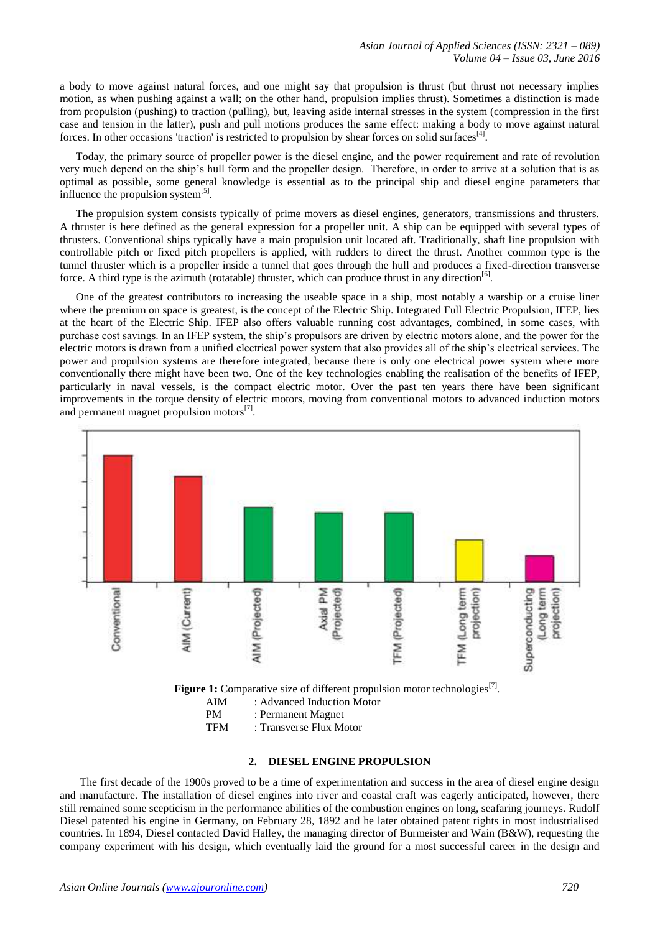a body to move against natural forces, and one might say that propulsion is thrust (but thrust not necessary implies motion, as when pushing against a wall; on the other hand, propulsion implies thrust). Sometimes a distinction is made from propulsion (pushing) to traction (pulling), but, leaving aside internal stresses in the system (compression in the first case and tension in the latter), push and pull motions produces the same effect: making a body to move against natural forces. In other occasions 'traction' is restricted to propulsion by shear forces on solid surfaces<sup>[4]</sup>.

Today, the primary source of propeller power is the diesel engine, and the power requirement and rate of revolution very much depend on the ship's hull form and the propeller design. Therefore, in order to arrive at a solution that is as optimal as possible, some general knowledge is essential as to the principal ship and diesel engine parameters that influence the propulsion system $^{[5]}$ .

The propulsion system consists typically of prime movers as diesel engines, generators, transmissions and thrusters. A thruster is here defined as the general expression for a propeller unit. A ship can be equipped with several types of thrusters. Conventional ships typically have a main propulsion unit located aft. Traditionally, shaft line propulsion with controllable pitch or fixed pitch propellers is applied, with rudders to direct the thrust. Another common type is the tunnel thruster which is a propeller inside a tunnel that goes through the hull and produces a fixed-direction transverse force. A third type is the azimuth (rotatable) thruster, which can produce thrust in any direction<sup>[6]</sup>.

One of the greatest contributors to increasing the useable space in a ship, most notably a warship or a cruise liner where the premium on space is greatest, is the concept of the Electric Ship. Integrated Full Electric Propulsion, IFEP, lies at the heart of the Electric Ship. IFEP also offers valuable running cost advantages, combined, in some cases, with purchase cost savings. In an IFEP system, the ship's propulsors are driven by electric motors alone, and the power for the electric motors is drawn from a unified electrical power system that also provides all of the ship's electrical services. The power and propulsion systems are therefore integrated, because there is only one electrical power system where more conventionally there might have been two. One of the key technologies enabling the realisation of the benefits of IFEP, particularly in naval vessels, is the compact electric motor. Over the past ten years there have been significant improvements in the torque density of electric motors, moving from conventional motors to advanced induction motors and permanent magnet propulsion motors<sup>[7]</sup>.



TFM : Transverse Flux Motor

## **2. DIESEL ENGINE PROPULSION**

The first decade of the 1900s proved to be a time of experimentation and success in the area of diesel engine design and manufacture. The installation of diesel engines into river and coastal craft was eagerly anticipated, however, there still remained some scepticism in the performance abilities of the combustion engines on long, seafaring journeys. Rudolf Diesel patented his engine in Germany, on February 28, 1892 and he later obtained patent rights in most industrialised countries. In 1894, Diesel contacted David Halley, the managing director of Burmeister and Wain (B&W), requesting the company experiment with his design, which eventually laid the ground for a most successful career in the design and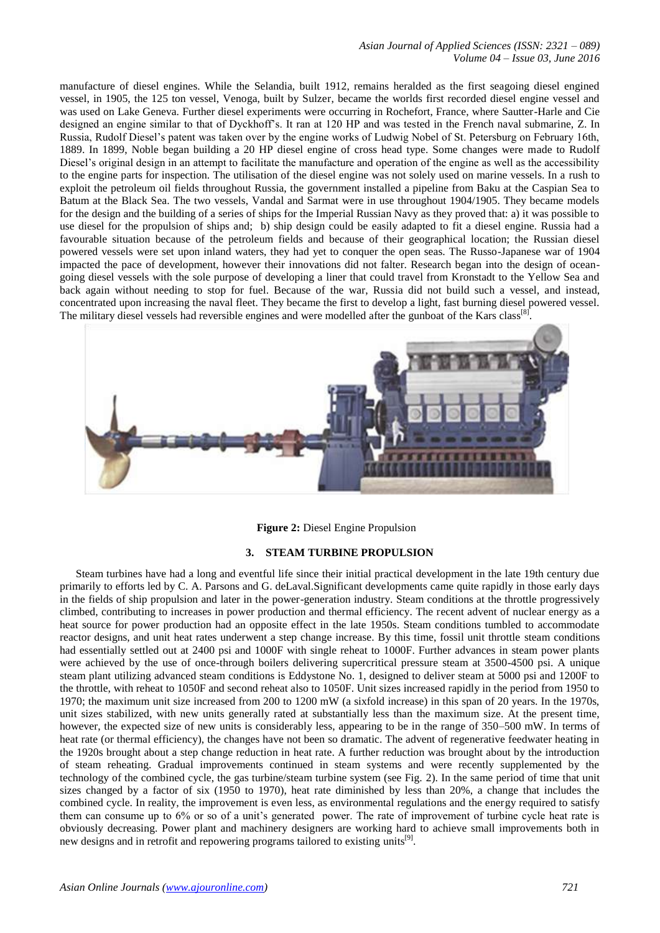manufacture of diesel engines. While the Selandia, built 1912, remains heralded as the first seagoing diesel engined vessel, in 1905, the 125 ton vessel, Venoga, built by Sulzer, became the worlds first recorded diesel engine vessel and was used on Lake Geneva. Further diesel experiments were occurring in Rochefort, France, where Sautter-Harle and Cie designed an engine similar to that of Dyckhoff's. It ran at 120 HP and was tested in the French naval submarine, Z. In Russia, Rudolf Diesel's patent was taken over by the engine works of Ludwig Nobel of St. Petersburg on February 16th, 1889. In 1899, Noble began building a 20 HP diesel engine of cross head type. Some changes were made to Rudolf Diesel's original design in an attempt to facilitate the manufacture and operation of the engine as well as the accessibility to the engine parts for inspection. The utilisation of the diesel engine was not solely used on marine vessels. In a rush to exploit the petroleum oil fields throughout Russia, the government installed a pipeline from Baku at the Caspian Sea to Batum at the Black Sea. The two vessels, Vandal and Sarmat were in use throughout 1904/1905. They became models for the design and the building of a series of ships for the Imperial Russian Navy as they proved that: a) it was possible to use diesel for the propulsion of ships and; b) ship design could be easily adapted to fit a diesel engine. Russia had a favourable situation because of the petroleum fields and because of their geographical location; the Russian diesel powered vessels were set upon inland waters, they had yet to conquer the open seas. The Russo-Japanese war of 1904 impacted the pace of development, however their innovations did not falter. Research began into the design of oceangoing diesel vessels with the sole purpose of developing a liner that could travel from Kronstadt to the Yellow Sea and back again without needing to stop for fuel. Because of the war, Russia did not build such a vessel, and instead, concentrated upon increasing the naval fleet. They became the first to develop a light, fast burning diesel powered vessel. The military diesel vessels had reversible engines and were modelled after the gunboat of the Kars class<sup>[8]</sup>.



**Figure 2:** Diesel Engine Propulsion

# **3. STEAM TURBINE PROPULSION**

Steam turbines have had a long and eventful life since their initial practical development in the late 19th century due primarily to efforts led by C. A. Parsons and G. deLaval.Significant developments came quite rapidly in those early days in the fields of ship propulsion and later in the power-generation industry. Steam conditions at the throttle progressively climbed, contributing to increases in power production and thermal efficiency. The recent advent of nuclear energy as a heat source for power production had an opposite effect in the late 1950s. Steam conditions tumbled to accommodate reactor designs, and unit heat rates underwent a step change increase. By this time, fossil unit throttle steam conditions had essentially settled out at 2400 psi and 1000F with single reheat to 1000F. Further advances in steam power plants were achieved by the use of once-through boilers delivering supercritical pressure steam at 3500-4500 psi. A unique steam plant utilizing advanced steam conditions is Eddystone No. 1, designed to deliver steam at 5000 psi and 1200F to the throttle, with reheat to 1050F and second reheat also to 1050F. Unit sizes increased rapidly in the period from 1950 to 1970; the maximum unit size increased from 200 to 1200 mW (a sixfold increase) in this span of 20 years. In the 1970s, unit sizes stabilized, with new units generally rated at substantially less than the maximum size. At the present time, however, the expected size of new units is considerably less, appearing to be in the range of 350–500 mW. In terms of heat rate (or thermal efficiency), the changes have not been so dramatic. The advent of regenerative feedwater heating in the 1920s brought about a step change reduction in heat rate. A further reduction was brought about by the introduction of steam reheating. Gradual improvements continued in steam systems and were recently supplemented by the technology of the combined cycle, the gas turbine/steam turbine system (see Fig. 2). In the same period of time that unit sizes changed by a factor of six (1950 to 1970), heat rate diminished by less than 20%, a change that includes the combined cycle. In reality, the improvement is even less, as environmental regulations and the energy required to satisfy them can consume up to 6% or so of a unit's generated power. The rate of improvement of turbine cycle heat rate is obviously decreasing. Power plant and machinery designers are working hard to achieve small improvements both in new designs and in retrofit and repowering programs tailored to existing units<sup>[9]</sup>.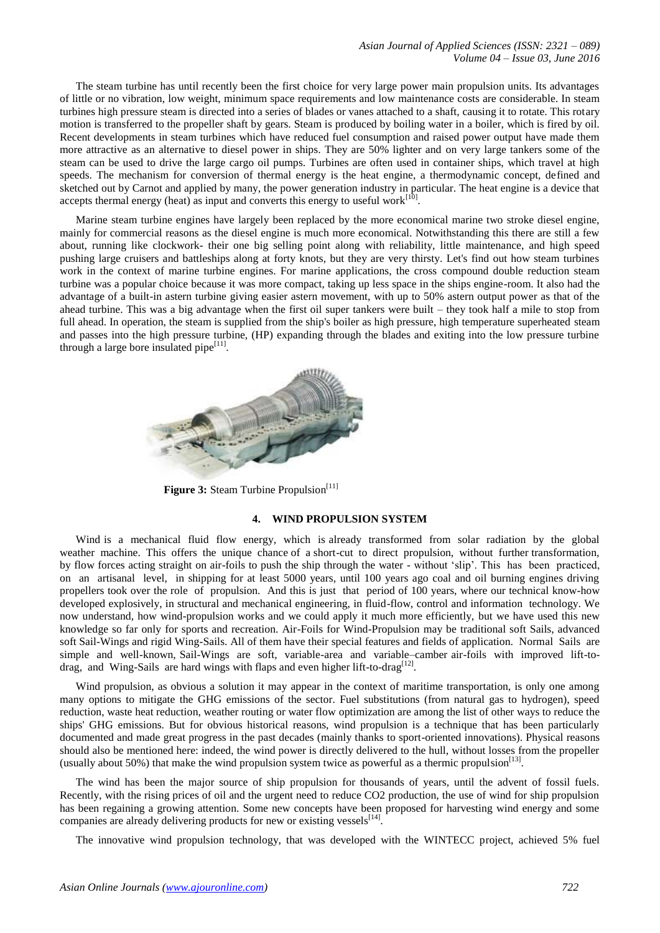The steam turbine has until recently been the first choice for very large power main propulsion units. Its advantages of little or no vibration, low weight, minimum space requirements and low maintenance costs are considerable. In steam turbines high pressure steam is directed into a series of blades or vanes attached to a shaft, causing it to rotate. This rotary motion is transferred to the propeller shaft by gears. Steam is produced by boiling water in a boiler, which is fired by oil. Recent developments in steam turbines which have reduced fuel consumption and raised power output have made them more attractive as an alternative to diesel power in ships. They are 50% lighter and on very large tankers some of the steam can be used to drive the large cargo oil pumps. Turbines are often used in container ships, which travel at high speeds. The mechanism for conversion of thermal energy is the heat engine, a thermodynamic concept, defined and sketched out by Carnot and applied by many, the power generation industry in particular. The heat engine is a device that accepts thermal energy (heat) as input and converts this energy to useful work $^{[10]}$ .

Marine steam turbine engines have largely been replaced by the more economical marine two stroke diesel engine, mainly for commercial reasons as the diesel engine is much more economical. Notwithstanding this there are still a few about, running like clockwork- their one big selling point along with reliability, little maintenance, and high speed pushing large cruisers and battleships along at forty knots, but they are very thirsty. Let's find out how steam turbines work in the context of marine turbine engines. For marine applications, the cross compound double reduction steam turbine was a popular choice because it was more compact, taking up less space in the ships engine-room. It also had the advantage of a built-in astern turbine giving easier astern movement, with up to 50% astern output power as that of the ahead turbine. This was a big advantage when the first oil super tankers were built – they took half a mile to stop from full ahead. In operation, the steam is supplied from the ship's boiler as high pressure, high temperature superheated steam and passes into the high pressure turbine, (HP) expanding through the blades and exiting into the low pressure turbine through a large bore insulated pipe<sup>[11]</sup>.



**Figure 3:** Steam Turbine Propulsion<sup>[11]</sup>

#### **4. WIND PROPULSION SYSTEM**

Wind is a mechanical fluid flow energy, which is already transformed from solar radiation by the global weather machine. This offers the unique chance of a short-cut to direct propulsion, without further transformation, by flow forces acting straight on air-foils to push the ship through the water - without 'slip'. This has been practiced, on an artisanal level, in shipping for at least 5000 years, until 100 years ago coal and oil burning engines driving propellers took over the role of propulsion. And this is just that period of 100 years, where our technical know-how developed explosively, in structural and mechanical engineering, in fluid-flow, control and information technology. We now understand, how wind-propulsion works and we could apply it much more efficiently, but we have used this new knowledge so far only for sports and recreation. Air-Foils for Wind-Propulsion may be traditional soft Sails, advanced soft Sail-Wings and rigid Wing-Sails. All of them have their special features and fields of application. Normal Sails are simple and well-known, Sail-Wings are soft, variable-area and variable–camber air-foils with improved lift-todrag, and Wing-Sails are hard wings with flaps and even higher lift-to-drag<sup>[12]</sup>.

Wind propulsion, as obvious a solution it may appear in the context of maritime transportation, is only one among many options to mitigate the GHG emissions of the sector. Fuel substitutions (from natural gas to hydrogen), speed reduction, waste heat reduction, weather routing or water flow optimization are among the list of other ways to reduce the ships' GHG emissions. But for obvious historical reasons, wind propulsion is a technique that has been particularly documented and made great progress in the past decades (mainly thanks to sport-oriented innovations). Physical reasons should also be mentioned here: indeed, the wind power is directly delivered to the hull, without losses from the propeller (usually about 50%) that make the wind propulsion system twice as powerful as a thermic propulsion $^{[13]}$ .

The wind has been the major source of ship propulsion for thousands of years, until the advent of fossil fuels. Recently, with the rising prices of oil and the urgent need to reduce CO2 production, the use of wind for ship propulsion has been regaining a growing attention. Some new concepts have been proposed for harvesting wind energy and some companies are already delivering products for new or existing vessels<sup>[14]</sup>.

The innovative wind propulsion technology, that was developed with the WINTECC project, achieved 5% fuel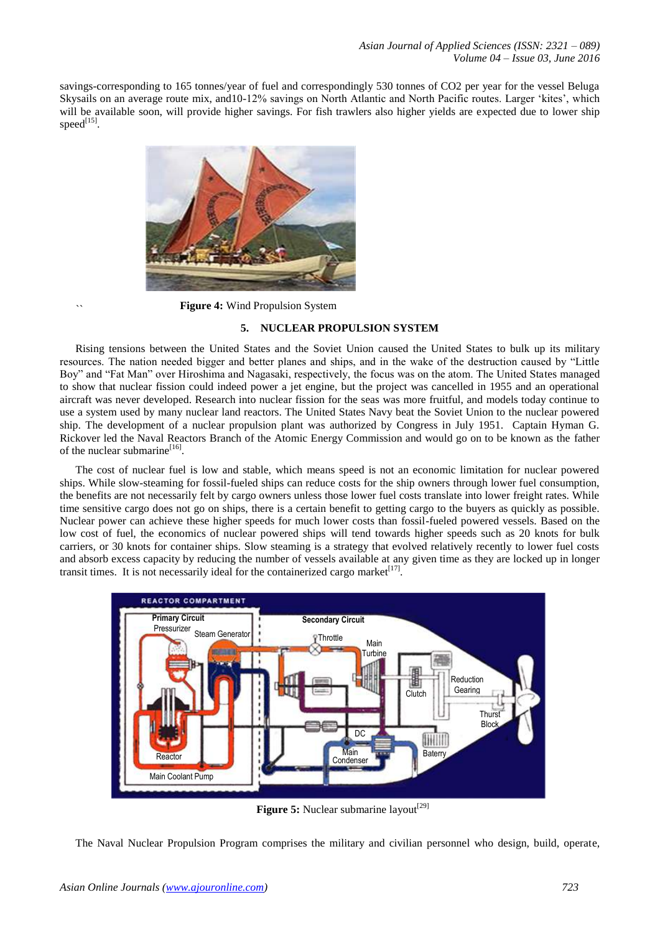savings-corresponding to 165 tonnes/year of fuel and correspondingly 530 tonnes of CO2 per year for the vessel Beluga Skysails on an average route mix, and 10-12% savings on North Atlantic and North Pacific routes. Larger 'kites', which will be available soon, will provide higher savings. For fish trawlers also higher yields are expected due to lower ship  $speed^{[15]}.$ 



**Figure 4:** Wind Propulsion System

``

# **5. NUCLEAR PROPULSION SYSTEM**

Rising tensions between the United States and the Soviet Union caused the United States to bulk up its military resources. The nation needed bigger and better planes and ships, and in the wake of the destruction caused by "Little Boy" and "Fat Man" over Hiroshima and Nagasaki, respectively, the focus was on the atom. The United States managed to show that nuclear fission could indeed power a jet engine, but the project was cancelled in 1955 and an operational aircraft was never developed. Research into nuclear fission for the seas was more fruitful, and models today continue to use a system used by many nuclear land reactors. The United States Navy beat the Soviet Union to the nuclear powered ship. The development of a nuclear propulsion plant was authorized by Congress in July 1951. Captain Hyman G. Rickover led the Naval Reactors Branch of the Atomic Energy Commission and would go on to be known as the father of the nuclear submarine<sup>[16]</sup>.

The cost of nuclear fuel is low and stable, which means speed is not an economic limitation for nuclear powered ships. While slow-steaming for fossil-fueled ships can reduce costs for the ship owners through lower fuel consumption, the benefits are not necessarily felt by cargo owners unless those lower fuel costs translate into lower freight rates. While time sensitive cargo does not go on ships, there is a certain benefit to getting cargo to the buyers as quickly as possible. Nuclear power can achieve these higher speeds for much lower costs than fossil-fueled powered vessels. Based on the low cost of fuel, the economics of nuclear powered ships will tend towards higher speeds such as 20 knots for bulk carriers, or 30 knots for container ships. Slow steaming is a strategy that evolved relatively recently to lower fuel costs and absorb excess capacity by reducing the number of vessels available at any given time as they are locked up in longer transit times. It is not necessarily ideal for the containerized cargo market $[17]$ .



Figure 5: Nuclear submarine layout<sup>[29]</sup>

The Naval Nuclear Propulsion Program comprises the military and civilian personnel who design, build, operate,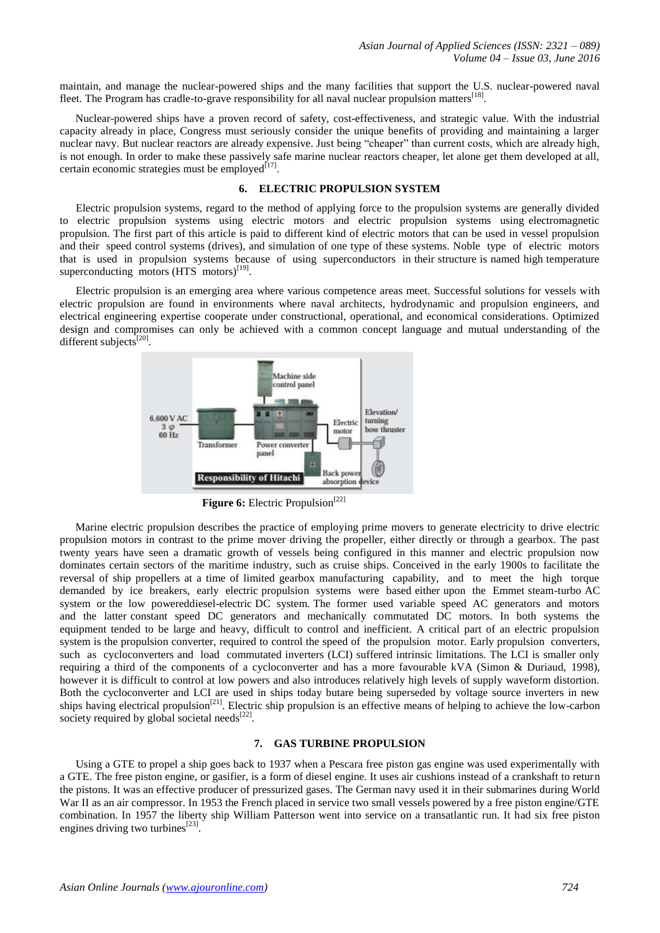maintain, and manage the nuclear-powered ships and the many facilities that support the U.S. nuclear-powered naval fleet. The Program has cradle-to-grave responsibility for all naval nuclear propulsion matters<sup>[18]</sup>.

Nuclear-powered ships have a proven record of safety, cost-effectiveness, and strategic value. With the industrial capacity already in place, Congress must seriously consider the unique benefits of providing and maintaining a larger nuclear navy. But nuclear reactors are already expensive. Just being "cheaper" than current costs, which are already high, is not enough. In order to make these passively safe marine nuclear reactors cheaper, let alone get them developed at all, certain economic strategies must be employed $[17]$ .

# **6. ELECTRIC PROPULSION SYSTEM**

Electric propulsion systems, regard to the method of applying force to the propulsion systems are generally divided to electric propulsion systems using electric motors and electric propulsion systems using electromagnetic propulsion. The first part of this article is paid to different kind of electric motors that can be used in vessel propulsion and their speed control systems (drives), and simulation of one type of these systems. Noble type of electric motors that is used in propulsion systems because of using superconductors in their structure is named high temperature superconducting motors  $(HTS \text{ motors})^{[19]}$ .

Electric propulsion is an emerging area where various competence areas meet. Successful solutions for vessels with electric propulsion are found in environments where naval architects, hydrodynamic and propulsion engineers, and electrical engineering expertise cooperate under constructional, operational, and economical considerations. Optimized design and compromises can only be achieved with a common concept language and mutual understanding of the different subjects<sup>[20]</sup>.



Figure 6: Electric Propulsion<sup>[22]</sup>

Marine electric propulsion describes the practice of employing prime movers to generate electricity to drive electric propulsion motors in contrast to the prime mover driving the propeller, either directly or through a gearbox. The past twenty years have seen a dramatic growth of vessels being configured in this manner and electric propulsion now dominates certain sectors of the maritime industry, such as cruise ships. Conceived in the early 1900s to facilitate the reversal of ship propellers at a time of limited gearbox manufacturing capability, and to meet the high torque demanded by ice breakers, early electric propulsion systems were based either upon the Emmet steam-turbo AC system or the low powereddiesel-electric DC system. The former used variable speed AC generators and motors and the latter constant speed DC generators and mechanically commutated DC motors. In both systems the equipment tended to be large and heavy, difficult to control and inefficient. A critical part of an electric propulsion system is the propulsion converter, required to control the speed of the propulsion motor. Early propulsion converters, such as cycloconverters and load commutated inverters (LCI) suffered intrinsic limitations. The LCI is smaller only requiring a third of the components of a cycloconverter and has a more favourable kVA (Simon & Duriaud, 1998), however it is difficult to control at low powers and also introduces relatively high levels of supply waveform distortion. Both the cycloconverter and LCI are used in ships today butare being superseded by voltage source inverters in new ships having electrical propulsion<sup>[21]</sup>. Electric ship propulsion is an effective means of helping to achieve the low-carbon society required by global societal needs $^{[22]}$ .

### **7. GAS TURBINE PROPULSION**

Using a GTE to propel a ship goes back to 1937 when a Pescara free piston gas engine was used experimentally with a GTE. The free piston engine, or gasifier, is a form of diesel engine. It uses air cushions instead of a crankshaft to return the pistons. It was an effective producer of pressurized gases. The German navy used it in their submarines during World War II as an air compressor. In 1953 the French placed in service two small vessels powered by a free piston engine/GTE combination. In 1957 the liberty ship William Patterson went into service on a transatlantic run. It had six free piston engines driving two turbines $^{[23]}$ .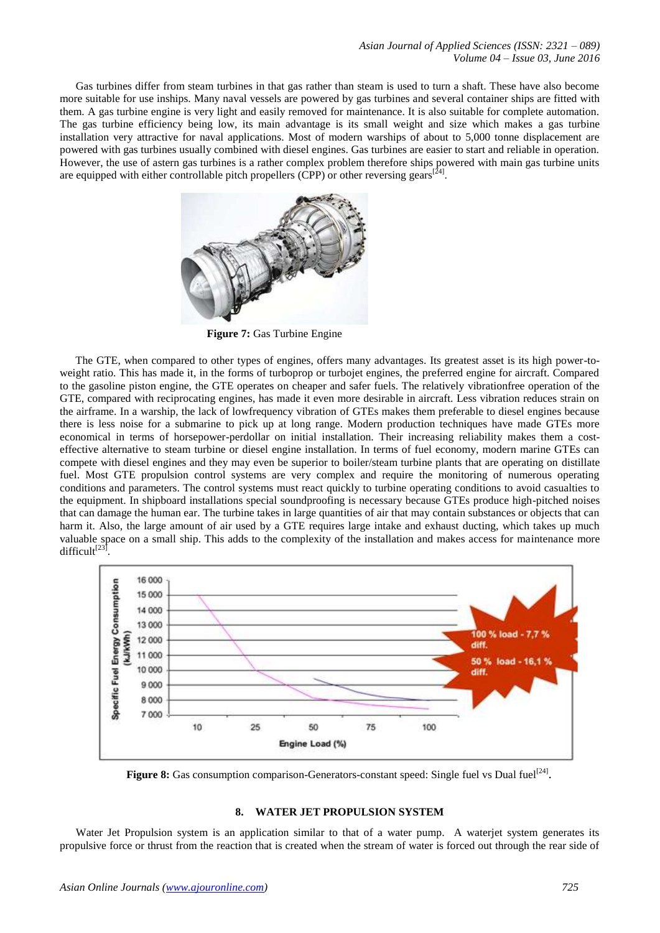*Asian Journal of Applied Sciences (ISSN: 2321 – 089) Volume 04 – Issue 03, June 2016*

Gas turbines differ from steam turbines in that gas rather than steam is used to turn a shaft. These have also become more suitable for use inships. Many naval vessels are powered by gas turbines and several container ships are fitted with them. A gas turbine engine is very light and easily removed for maintenance. It is also suitable for complete automation. The gas turbine efficiency being low, its main advantage is its small weight and size which makes a gas turbine installation very attractive for naval applications. Most of modern warships of about to 5,000 tonne displacement are powered with gas turbines usually combined with diesel engines. Gas turbines are easier to start and reliable in operation. However, the use of astern gas turbines is a rather complex problem therefore ships powered with main gas turbine units are equipped with either controllable pitch propellers (CPP) or other reversing gears<sup>[24]</sup>.



**Figure 7:** Gas Turbine Engine

The GTE, when compared to other types of engines, offers many advantages. Its greatest asset is its high power-toweight ratio. This has made it, in the forms of turboprop or turbojet engines, the preferred engine for aircraft. Compared to the gasoline piston engine, the GTE operates on cheaper and safer fuels. The relatively vibrationfree operation of the GTE, compared with reciprocating engines, has made it even more desirable in aircraft. Less vibration reduces strain on the airframe. In a warship, the lack of lowfrequency vibration of GTEs makes them preferable to diesel engines because there is less noise for a submarine to pick up at long range. Modern production techniques have made GTEs more economical in terms of horsepower-perdollar on initial installation. Their increasing reliability makes them a costeffective alternative to steam turbine or diesel engine installation. In terms of fuel economy, modern marine GTEs can compete with diesel engines and they may even be superior to boiler/steam turbine plants that are operating on distillate fuel. Most GTE propulsion control systems are very complex and require the monitoring of numerous operating conditions and parameters. The control systems must react quickly to turbine operating conditions to avoid casualties to the equipment. In shipboard installations special soundproofing is necessary because GTEs produce high-pitched noises that can damage the human ear. The turbine takes in large quantities of air that may contain substances or objects that can harm it. Also, the large amount of air used by a GTE requires large intake and exhaust ducting, which takes up much valuable space on a small ship. This adds to the complexity of the installation and makes access for maintenance more difficult $^{[23]}$ .



Figure 8: Gas consumption comparison-Generators-constant speed: Single fuel vs Dual fuel<sup>[24]</sup>.

## **8. WATER JET PROPULSION SYSTEM**

Water Jet Propulsion system is an application similar to that of a water pump. A waterjet system generates its propulsive force or thrust from the reaction that is created when the stream of water is forced out through the rear side of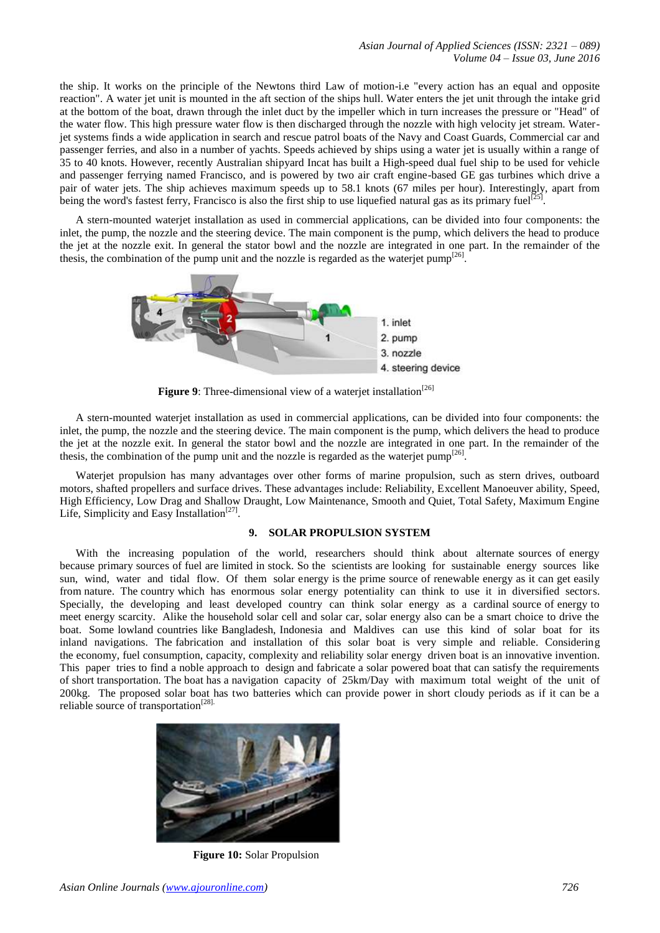the ship. It works on the principle of the Newtons third Law of motion-i.e "every action has an equal and opposite reaction". A water jet unit is mounted in the aft section of the ships hull. Water enters the jet unit through the intake grid at the bottom of the boat, drawn through the inlet duct by the impeller which in turn increases the pressure or "Head" of the water flow. This high pressure water flow is then discharged through the nozzle with high velocity jet stream. Waterjet systems finds a wide application in search and rescue patrol boats of the Navy and Coast Guards, Commercial car and passenger ferries, and also in a number of yachts. Speeds achieved by ships using a water jet is usually within a range of 35 to 40 knots. However, recently Australian shipyard Incat has built a High-speed dual fuel ship to be used for vehicle and passenger ferrying named Francisco, and is powered by two air craft engine-based GE gas turbines which drive a pair of water jets. The ship achieves maximum speeds up to 58.1 knots (67 miles per hour). Interestingly, apart from being the word's fastest ferry, Francisco is also the first ship to use liquefied natural gas as its primary fuel<sup>[2</sup> $\alpha$ ] .

A stern-mounted waterjet installation as used in commercial applications, can be divided into four components: the inlet, the pump, the nozzle and the steering device. The main component is the pump, which delivers the head to produce the jet at the nozzle exit. In general the stator bowl and the nozzle are integrated in one part. In the remainder of the thesis, the combination of the pump unit and the nozzle is regarded as the waterjet pump<sup>[26]</sup>.



Figure 9: Three-dimensional view of a waterjet installation<sup>[26]</sup>

A stern-mounted waterjet installation as used in commercial applications, can be divided into four components: the inlet, the pump, the nozzle and the steering device. The main component is the pump, which delivers the head to produce the jet at the nozzle exit. In general the stator bowl and the nozzle are integrated in one part. In the remainder of the thesis, the combination of the pump unit and the nozzle is regarded as the waterjet pump<sup>[26]</sup>.

Waterjet propulsion has many advantages over other forms of marine propulsion, such as stern drives, outboard motors, shafted propellers and surface drives. These advantages include: Reliability, Excellent Manoeuver ability, Speed, High Efficiency, Low Drag and Shallow Draught, Low Maintenance, Smooth and Quiet, Total Safety, Maximum Engine Life, Simplicity and Easy Installation<sup>[27]</sup>.

### **9. SOLAR PROPULSION SYSTEM**

With the increasing population of the world, researchers should think about alternate sources of energy because primary sources of fuel are limited in stock. So the scientists are looking for sustainable energy sources like sun, wind, water and tidal flow. Of them solar energy is the prime source of renewable energy as it can get easily from nature. The country which has enormous solar energy potentiality can think to use it in diversified sectors. Specially, the developing and least developed country can think solar energy as a cardinal source of energy to meet energy scarcity. Alike the household solar cell and solar car, solar energy also can be a smart choice to drive the boat. Some lowland countries like Bangladesh, Indonesia and Maldives can use this kind of solar boat for its inland navigations. The fabrication and installation of this solar boat is very simple and reliable. Considering the economy, fuel consumption, capacity, complexity and reliability solar energy driven boat is an innovative invention. This paper tries to find a noble approach to design and fabricate a solar powered boat that can satisfy the requirements of short transportation. The boat has a navigation capacity of 25km/Day with maximum total weight of the unit of 200kg. The proposed solar boat has two batteries which can provide power in short cloudy periods as if it can be a reliable source of transportation<sup>[28].</sup>



**Figure 10:** Solar Propulsion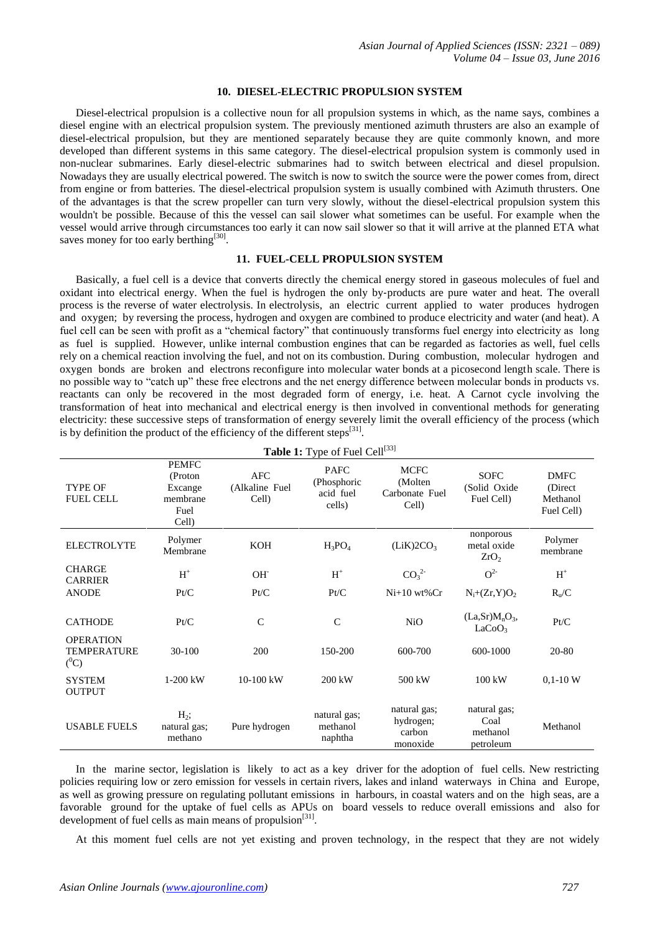# **10. DIESEL-ELECTRIC PROPULSION SYSTEM**

Diesel-electrical propulsion is a collective noun for all propulsion systems in which, as the name says, combines a diesel engine with an electrical propulsion system. The previously mentioned azimuth thrusters are also an example of diesel-electrical propulsion, but they are mentioned separately because they are quite commonly known, and more developed than different systems in this same category. The diesel-electrical propulsion system is commonly used in non-nuclear submarines. Early diesel-electric submarines had to switch between electrical and diesel propulsion. Nowadays they are usually electrical powered. The switch is now to switch the source were the power comes from, direct from engine or from batteries. The diesel-electrical propulsion system is usually combined with Azimuth thrusters. One of the advantages is that the screw propeller can turn very slowly, without the diesel-electrical propulsion system this wouldn't be possible. Because of this the vessel can sail slower what sometimes can be useful. For example when the vessel would arrive through circumstances too early it can now sail slower so that it will arrive at the planned ETA what saves money for too early berthing<sup>[30]</sup>.

#### **11. FUEL-CELL PROPULSION SYSTEM**

Basically, a fuel cell is a device that converts directly the chemical energy stored in gaseous molecules of fuel and oxidant into electrical energy. When the fuel is hydrogen the only by‐products are pure water and heat. The overall process is the reverse of water electrolysis. In electrolysis, an electric current applied to water produces hydrogen and oxygen; by reversing the process, hydrogen and oxygen are combined to produce electricity and water (and heat). A fuel cell can be seen with profit as a "chemical factory" that continuously transforms fuel energy into electricity as long as fuel is supplied. However, unlike internal combustion engines that can be regarded as factories as well, fuel cells rely on a chemical reaction involving the fuel, and not on its combustion. During combustion, molecular hydrogen and oxygen bonds are broken and electrons reconfigure into molecular water bonds at a picosecond length scale. There is no possible way to "catch up" these free electrons and the net energy difference between molecular bonds in products vs. reactants can only be recovered in the most degraded form of energy, i.e. heat. A Carnot cycle involving the transformation of heat into mechanical and electrical energy is then involved in conventional methods for generating electricity: these successive steps of transformation of energy severely limit the overall efficiency of the process (which is by definition the product of the efficiency of the different steps $^{[31]}$ .

| Table 1: Type of Fuel Cell <sup>[33]</sup>        |                                                                  |                                |                                                   |                                                    |                                                             |                                                   |
|---------------------------------------------------|------------------------------------------------------------------|--------------------------------|---------------------------------------------------|----------------------------------------------------|-------------------------------------------------------------|---------------------------------------------------|
| <b>TYPE OF</b><br><b>FUEL CELL</b>                | <b>PEMFC</b><br>(Proton)<br>Excange<br>membrane<br>Fuel<br>Cell) | AFC<br>(Alkaline Fuel<br>Cell) | <b>PAFC</b><br>(Phosphoric<br>acid fuel<br>cells) | <b>MCFC</b><br>(Molten)<br>Carbonate Fuel<br>Cell) | <b>SOFC</b><br>(Solid Oxide<br>Fuel Cell)                   | <b>DMFC</b><br>(Direct)<br>Methanol<br>Fuel Cell) |
| <b>ELECTROLYTE</b>                                | Polymer<br>Membrane                                              | KOH                            | $H_3PO_4$                                         | (LiK)2CO <sub>3</sub>                              | nonporous<br>metal oxide<br>ZrO <sub>2</sub>                | Polymer<br>membrane                               |
| <b>CHARGE</b><br><b>CARRIER</b>                   | $H^+$                                                            | OH <sup>-</sup>                | $\mathbf{H}^+$                                    | CO <sub>3</sub> <sup>2</sup>                       | $O^{2}$                                                     | $H^+$                                             |
| <b>ANODE</b>                                      | Pt/C                                                             | Pt/C                           | Pt/C                                              | $Ni+10 wt\%$ Cr                                    | $N_i+(Zr,Y)O_2$                                             | $R_v/C$                                           |
| <b>CATHODE</b>                                    | Pt/C                                                             | $\mathsf{C}$                   | $\mathsf{C}$                                      | N <sub>i</sub> O                                   | (La, Sr)M <sub>n</sub> O <sub>3</sub><br>LaCoO <sub>3</sub> | Pt/C                                              |
| <b>OPERATION</b><br><b>TEMPERATURE</b><br>$(^0C)$ | 30-100                                                           | 200                            | 150-200                                           | 600-700                                            | 600-1000                                                    | 20-80                                             |
| <b>SYSTEM</b><br><b>OUTPUT</b>                    | 1-200 kW                                                         | $10-100$ kW                    | $200 \text{ kW}$                                  | 500 kW                                             | $100 \text{ kW}$                                            | $0,1-10$ W                                        |
| <b>USABLE FUELS</b>                               | $H_2$ ;<br>natural gas;<br>methano                               | Pure hydrogen                  | natural gas;<br>methanol<br>naphtha               | natural gas;<br>hydrogen;<br>carbon<br>monoxide    | natural gas;<br>Coal<br>methanol<br>petroleum               | Methanol                                          |

In the marine sector, legislation is likely to act as a key driver for the adoption of fuel cells. New restricting policies requiring low or zero emission for vessels in certain rivers, lakes and inland waterways in China and Europe, as well as growing pressure on regulating pollutant emissions in harbours, in coastal waters and on the high seas, are a favorable ground for the uptake of fuel cells as APUs on board vessels to reduce overall emissions and also for development of fuel cells as main means of propulsion<sup>[31]</sup>.

At this moment fuel cells are not yet existing and proven technology, in the respect that they are not widely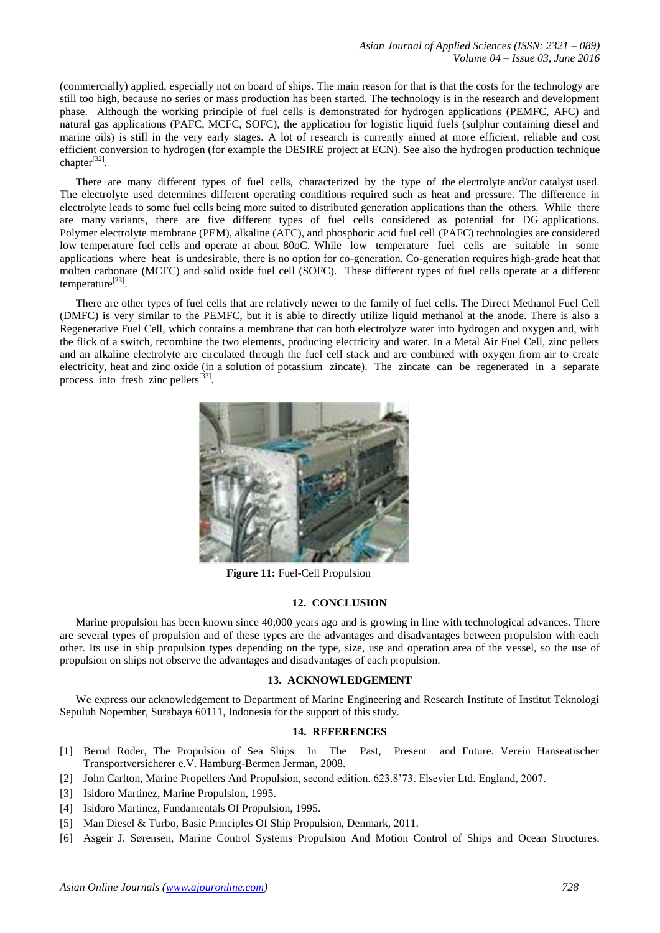(commercially) applied, especially not on board of ships. The main reason for that is that the costs for the technology are still too high, because no series or mass production has been started. The technology is in the research and development phase. Although the working principle of fuel cells is demonstrated for hydrogen applications (PEMFC, AFC) and natural gas applications (PAFC, MCFC, SOFC), the application for logistic liquid fuels (sulphur containing diesel and marine oils) is still in the very early stages. A lot of research is currently aimed at more efficient, reliable and cost efficient conversion to hydrogen (for example the DESIRE project at ECN). See also the hydrogen production technique chapter<sup>[32]</sup>.

There are many different types of fuel cells, characterized by the type of the electrolyte and/or catalyst used. The electrolyte used determines different operating conditions required such as heat and pressure. The difference in electrolyte leads to some fuel cells being more suited to distributed generation applications than the others. While there are many variants, there are five different types of fuel cells considered as potential for DG applications. Polymer electrolyte membrane (PEM), alkaline (AFC), and phosphoric acid fuel cell (PAFC) technologies are considered low temperature fuel cells and operate at about 80oC. While low temperature fuel cells are suitable in some applications where heat is undesirable, there is no option for co-generation. Co-generation requires high-grade heat that molten carbonate (MCFC) and solid oxide fuel cell (SOFC). These different types of fuel cells operate at a different temperature<sup>[33]</sup>.

There are other types of fuel cells that are relatively newer to the family of fuel cells. The Direct Methanol Fuel Cell (DMFC) is very similar to the PEMFC, but it is able to directly utilize liquid methanol at the anode. There is also a Regenerative Fuel Cell, which contains a membrane that can both electrolyze water into hydrogen and oxygen and, with the flick of a switch, recombine the two elements, producing electricity and water. In a Metal Air Fuel Cell, zinc pellets and an alkaline electrolyte are circulated through the fuel cell stack and are combined with oxygen from air to create electricity, heat and zinc oxide (in a solution of potassium zincate). The zincate can be regenerated in a separate process into fresh zinc pellets<sup>[33]</sup>.



**Figure 11:** Fuel-Cell Propulsion

# **12. CONCLUSION**

Marine propulsion has been known since 40,000 years ago and is growing in line with technological advances. There are several types of propulsion and of these types are the advantages and disadvantages between propulsion with each other. Its use in ship propulsion types depending on the type, size, use and operation area of the vessel, so the use of propulsion on ships not observe the advantages and disadvantages of each propulsion.

# **13. ACKNOWLEDGEMENT**

We express our acknowledgement to Department of Marine Engineering and Research Institute of Institut Teknologi Sepuluh Nopember, Surabaya 60111, Indonesia for the support of this study.

# **14. REFERENCES**

- [1] Bernd Röder, The Propulsion of Sea Ships In The Past, Present and Future. Verein Hanseatischer Transportversicherer e.V. Hamburg-Bermen Jerman, 2008.
- [2] John Carlton, Marine Propellers And Propulsion, second edition. 623.8'73. Elsevier Ltd. England, 2007.
- [3] Isidoro Martinez, Marine Propulsion, 1995.
- [4] Isidoro Martinez, Fundamentals Of Propulsion, 1995.
- [5] Man Diesel & Turbo, Basic Principles Of Ship Propulsion, Denmark, 2011.
- [6] Asgeir J. Sørensen, Marine Control Systems Propulsion And Motion Control of Ships and Ocean Structures.